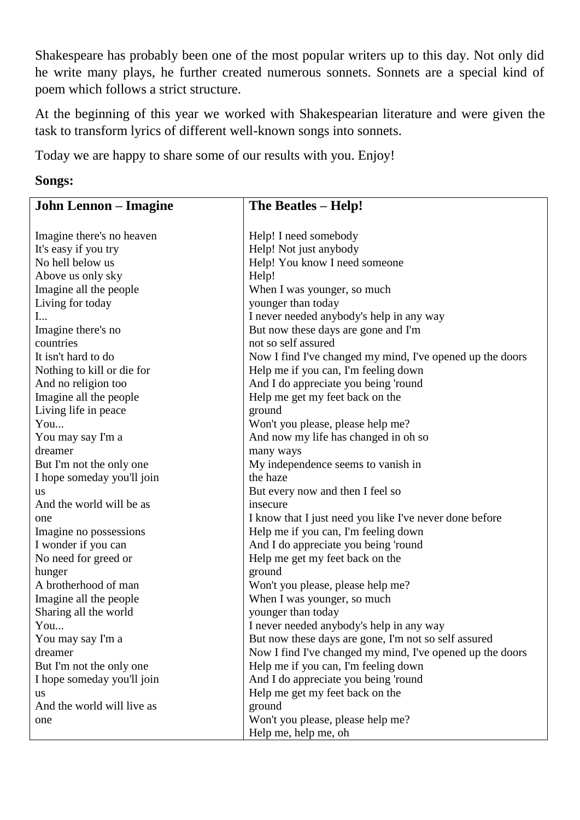Shakespeare has probably been one of the most popular writers up to this day. Not only did he write many plays, he further created numerous sonnets. Sonnets are a special kind of poem which follows a strict structure.

At the beginning of this year we worked with Shakespearian literature and were given the task to transform lyrics of different well-known songs into sonnets.

Today we are happy to share some of our results with you. Enjoy!

## **Songs:**

| <b>John Lennon</b> – Imagine | The Beatles - Help!                                       |
|------------------------------|-----------------------------------------------------------|
|                              |                                                           |
| Imagine there's no heaven    | Help! I need somebody                                     |
| It's easy if you try         | Help! Not just anybody                                    |
| No hell below us             | Help! You know I need someone                             |
| Above us only sky            | Help!                                                     |
| Imagine all the people       | When I was younger, so much                               |
| Living for today             | younger than today                                        |
| $\mathbf{I}$                 | I never needed anybody's help in any way                  |
| Imagine there's no           | But now these days are gone and I'm                       |
| countries                    | not so self assured                                       |
| It isn't hard to do          | Now I find I've changed my mind, I've opened up the doors |
| Nothing to kill or die for   | Help me if you can, I'm feeling down                      |
| And no religion too          | And I do appreciate you being 'round                      |
| Imagine all the people       | Help me get my feet back on the                           |
| Living life in peace         | ground                                                    |
| You                          | Won't you please, please help me?                         |
| You may say I'm a            | And now my life has changed in oh so                      |
| dreamer                      | many ways                                                 |
| But I'm not the only one     | My independence seems to vanish in                        |
| I hope someday you'll join   | the haze                                                  |
| <b>us</b>                    | But every now and then I feel so                          |
| And the world will be as     | insecure                                                  |
| one                          | I know that I just need you like I've never done before   |
| Imagine no possessions       | Help me if you can, I'm feeling down                      |
| I wonder if you can          | And I do appreciate you being 'round                      |
| No need for greed or         | Help me get my feet back on the                           |
| hunger                       | ground                                                    |
| A brotherhood of man         | Won't you please, please help me?                         |
| Imagine all the people       | When I was younger, so much                               |
| Sharing all the world        | younger than today                                        |
| You                          | I never needed anybody's help in any way                  |
| You may say I'm a            | But now these days are gone, I'm not so self assured      |
| dreamer                      | Now I find I've changed my mind, I've opened up the doors |
| But I'm not the only one     | Help me if you can, I'm feeling down                      |
| I hope someday you'll join   | And I do appreciate you being 'round                      |
| <b>us</b>                    | Help me get my feet back on the                           |
| And the world will live as   | ground                                                    |
| one                          | Won't you please, please help me?                         |
|                              | Help me, help me, oh                                      |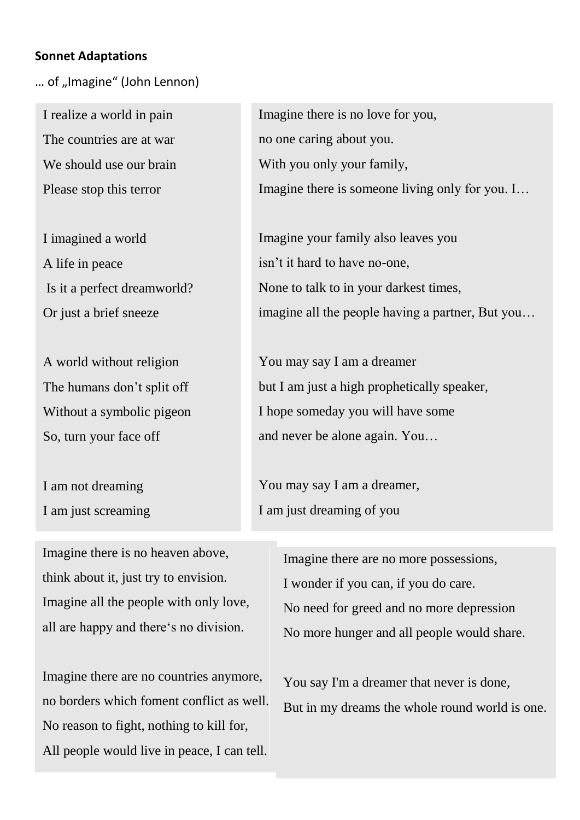## **Sonnet Adaptations**

... of "Imagine" (John Lennon)

I realize a world in pain The countries are at war We should use our brain Please stop this terror

I imagined a world A life in peace Is it a perfect dreamworld? Or just a brief sneeze

A world without religion The humans don't split off Without a symbolic pigeon So, turn your face off

I am not dreaming I am just screaming

Imagine there is no heaven above, think about it, just try to envision. Imagine all the people with only love, all are happy and there's no division.

Imagine there are no countries anymore, no borders which foment conflict as well. No reason to fight, nothing to kill for, All people would live in peace, I can tell.

Imagine there is no love for you, no one caring about you. With you only your family, Imagine there is someone living only for you. I…

Imagine your family also leaves you isn't it hard to have no-one, None to talk to in your darkest times, imagine all the people having a partner, But you…

You may say I am a dreamer but I am just a high prophetically speaker, I hope someday you will have some and never be alone again. You…

You may say I am a dreamer, I am just dreaming of you

> Imagine there are no more possessions, I wonder if you can, if you do care. No need for greed and no more depression No more hunger and all people would share.

You say I'm a dreamer that never is done, But in my dreams the whole round world is one.